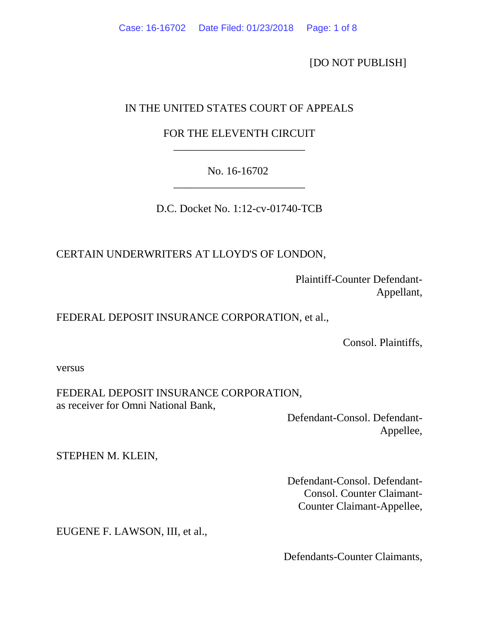[DO NOT PUBLISH]

## IN THE UNITED STATES COURT OF APPEALS

# FOR THE ELEVENTH CIRCUIT \_\_\_\_\_\_\_\_\_\_\_\_\_\_\_\_\_\_\_\_\_\_\_\_

# No. 16-16702 \_\_\_\_\_\_\_\_\_\_\_\_\_\_\_\_\_\_\_\_\_\_\_\_

D.C. Docket No. 1:12-cv-01740-TCB

CERTAIN UNDERWRITERS AT LLOYD'S OF LONDON,

 Plaintiff-Counter Defendant- Appellant,

## FEDERAL DEPOSIT INSURANCE CORPORATION, et al.,

Consol. Plaintiffs,

versus

FEDERAL DEPOSIT INSURANCE CORPORATION, as receiver for Omni National Bank,

> Defendant-Consol. Defendant- Appellee,

STEPHEN M. KLEIN,

 Defendant-Consol. Defendant- Consol. Counter Claimant- Counter Claimant-Appellee,

EUGENE F. LAWSON, III, et al.,

Defendants-Counter Claimants,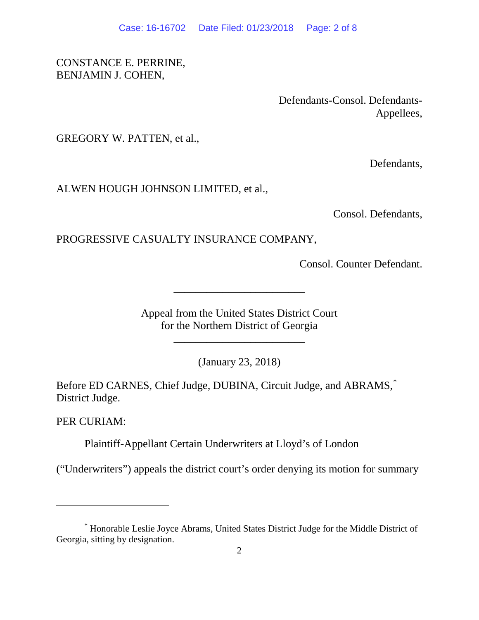CONSTANCE E. PERRINE, BENJAMIN J. COHEN,

> Defendants-Consol. Defendants- Appellees,

GREGORY W. PATTEN, et al.,

Defendants,

ALWEN HOUGH JOHNSON LIMITED, et al.,

Consol. Defendants,

### PROGRESSIVE CASUALTY INSURANCE COMPANY,

Consol. Counter Defendant.

Appeal from the United States District Court for the Northern District of Georgia

\_\_\_\_\_\_\_\_\_\_\_\_\_\_\_\_\_\_\_\_\_\_\_\_

\_\_\_\_\_\_\_\_\_\_\_\_\_\_\_\_\_\_\_\_\_\_\_\_

(January 23, 2018)

Before ED CARNES, Chief Judge, DUBINA, Circuit Judge, and ABRAMS, District Judge.

PER CURIAM:

 $\overline{a}$ 

Plaintiff-Appellant Certain Underwriters at Lloyd's of London

("Underwriters") appeals the district court's order denying its motion for summary

<span id="page-1-0"></span><sup>\*</sup> Honorable Leslie Joyce Abrams, United States District Judge for the Middle District of Georgia, sitting by designation.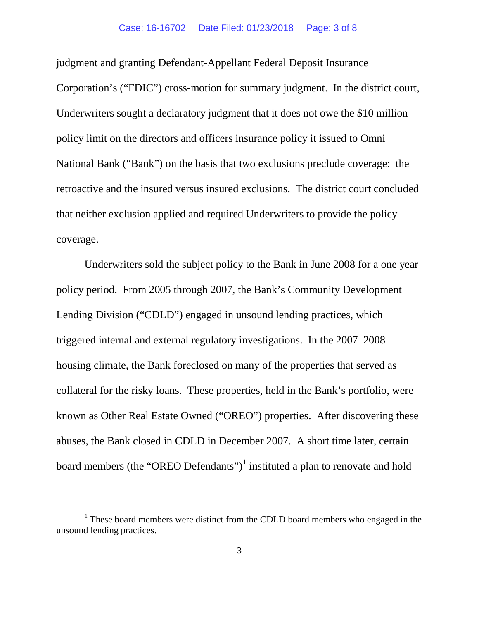judgment and granting Defendant-Appellant Federal Deposit Insurance Corporation's ("FDIC") cross-motion for summary judgment. In the district court, Underwriters sought a declaratory judgment that it does not owe the \$10 million policy limit on the directors and officers insurance policy it issued to Omni National Bank ("Bank") on the basis that two exclusions preclude coverage: the retroactive and the insured versus insured exclusions. The district court concluded that neither exclusion applied and required Underwriters to provide the policy coverage.

Underwriters sold the subject policy to the Bank in June 2008 for a one year policy period. From 2005 through 2007, the Bank's Community Development Lending Division ("CDLD") engaged in unsound lending practices, which triggered internal and external regulatory investigations. In the 2007–2008 housing climate, the Bank foreclosed on many of the properties that served as collateral for the risky loans. These properties, held in the Bank's portfolio, were known as Other Real Estate Owned ("OREO") properties. After discovering these abuses, the Bank closed in CDLD in December 2007. A short time later, certain board members (the "OREO Defendants")<sup>[1](#page-2-0)</sup> instituted a plan to renovate and hold

<span id="page-2-0"></span><sup>&</sup>lt;sup>1</sup> These board members were distinct from the CDLD board members who engaged in the unsound lending practices.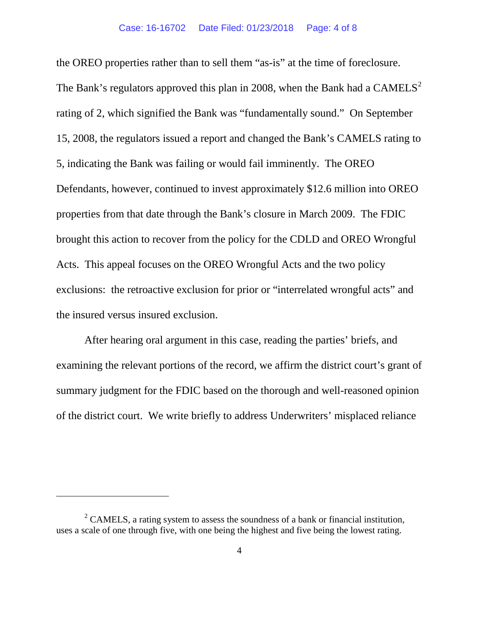the OREO properties rather than to sell them "as-is" at the time of foreclosure. The Bank's regulators approved this plan in [2](#page-3-0)008, when the Bank had a  $CAMELS<sup>2</sup>$ rating of 2, which signified the Bank was "fundamentally sound." On September 15, 2008, the regulators issued a report and changed the Bank's CAMELS rating to 5, indicating the Bank was failing or would fail imminently. The OREO Defendants, however, continued to invest approximately \$12.6 million into OREO properties from that date through the Bank's closure in March 2009. The FDIC brought this action to recover from the policy for the CDLD and OREO Wrongful Acts. This appeal focuses on the OREO Wrongful Acts and the two policy exclusions: the retroactive exclusion for prior or "interrelated wrongful acts" and the insured versus insured exclusion.

After hearing oral argument in this case, reading the parties' briefs, and examining the relevant portions of the record, we affirm the district court's grant of summary judgment for the FDIC based on the thorough and well-reasoned opinion of the district court. We write briefly to address Underwriters' misplaced reliance

<span id="page-3-0"></span> $2^{\circ}$  CAMELS, a rating system to assess the soundness of a bank or financial institution, uses a scale of one through five, with one being the highest and five being the lowest rating.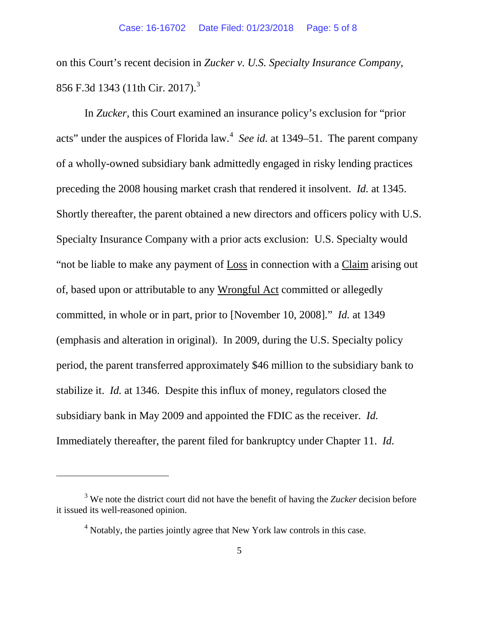on this Court's recent decision in *Zucker v. U.S. Specialty Insurance Company*, 856 F.[3](#page-4-0)d 1343 (11th Cir. 2017).<sup>3</sup>

In *Zucker*, this Court examined an insurance policy's exclusion for "prior acts" under the auspices of Florida law.<sup>[4](#page-4-1)</sup> See id. at 1349–51. The parent company of a wholly-owned subsidiary bank admittedly engaged in risky lending practices preceding the 2008 housing market crash that rendered it insolvent. *Id.* at 1345. Shortly thereafter, the parent obtained a new directors and officers policy with U.S. Specialty Insurance Company with a prior acts exclusion: U.S. Specialty would "not be liable to make any payment of Loss in connection with a Claim arising out of, based upon or attributable to any Wrongful Act committed or allegedly committed, in whole or in part, prior to [November 10, 2008]." *Id.* at 1349 (emphasis and alteration in original). In 2009, during the U.S. Specialty policy period, the parent transferred approximately \$46 million to the subsidiary bank to stabilize it. *Id.* at 1346. Despite this influx of money, regulators closed the subsidiary bank in May 2009 and appointed the FDIC as the receiver. *Id.*  Immediately thereafter, the parent filed for bankruptcy under Chapter 11. *Id.* 

<span id="page-4-1"></span><span id="page-4-0"></span><sup>3</sup> We note the district court did not have the benefit of having the *Zucker* decision before it issued its well-reasoned opinion.

 $4$  Notably, the parties jointly agree that New York law controls in this case.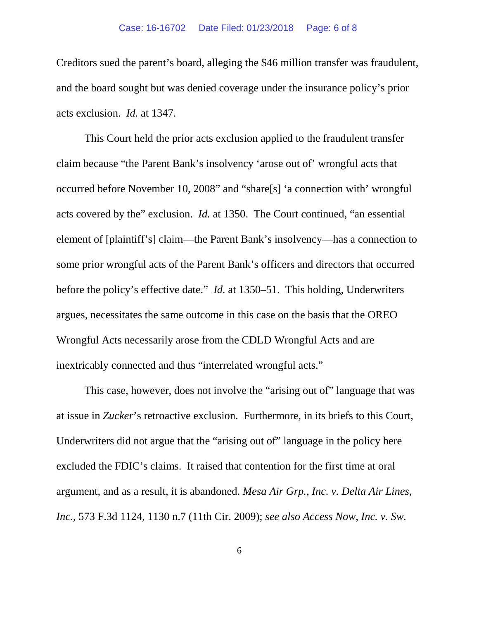Creditors sued the parent's board, alleging the \$46 million transfer was fraudulent, and the board sought but was denied coverage under the insurance policy's prior acts exclusion. *Id.* at 1347.

This Court held the prior acts exclusion applied to the fraudulent transfer claim because "the Parent Bank's insolvency 'arose out of' wrongful acts that occurred before November 10, 2008" and "share[s] 'a connection with' wrongful acts covered by the" exclusion. *Id.* at 1350. The Court continued, "an essential element of [plaintiff's] claim—the Parent Bank's insolvency—has a connection to some prior wrongful acts of the Parent Bank's officers and directors that occurred before the policy's effective date." *Id.* at 1350–51. This holding, Underwriters argues, necessitates the same outcome in this case on the basis that the OREO Wrongful Acts necessarily arose from the CDLD Wrongful Acts and are inextricably connected and thus "interrelated wrongful acts."

This case, however, does not involve the "arising out of" language that was at issue in *Zucker*'s retroactive exclusion. Furthermore, in its briefs to this Court, Underwriters did not argue that the "arising out of" language in the policy here excluded the FDIC's claims. It raised that contention for the first time at oral argument, and as a result, it is abandoned. *Mesa Air Grp., Inc. v. Delta Air Lines, Inc.*, 573 F.3d 1124, 1130 n.7 (11th Cir. 2009); *see also Access Now, Inc. v. Sw.*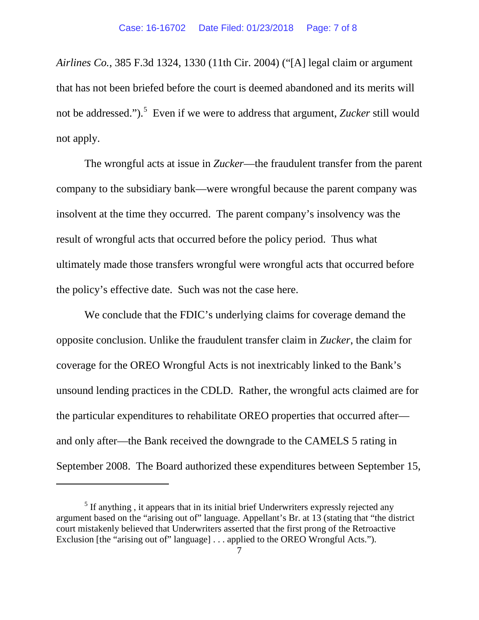*Airlines Co.*, 385 F.3d 1324, 1330 (11th Cir. 2004) ("[A] legal claim or argument that has not been briefed before the court is deemed abandoned and its merits will not be addressed.").<sup>[5](#page-6-0)</sup> Even if we were to address that argument, *Zucker* still would not apply.

The wrongful acts at issue in *Zucker*—the fraudulent transfer from the parent company to the subsidiary bank—were wrongful because the parent company was insolvent at the time they occurred. The parent company's insolvency was the result of wrongful acts that occurred before the policy period. Thus what ultimately made those transfers wrongful were wrongful acts that occurred before the policy's effective date. Such was not the case here.

We conclude that the FDIC's underlying claims for coverage demand the opposite conclusion. Unlike the fraudulent transfer claim in *Zucker*, the claim for coverage for the OREO Wrongful Acts is not inextricably linked to the Bank's unsound lending practices in the CDLD. Rather, the wrongful acts claimed are for the particular expenditures to rehabilitate OREO properties that occurred after and only after—the Bank received the downgrade to the CAMELS 5 rating in September 2008. The Board authorized these expenditures between September 15,

<span id="page-6-0"></span><sup>&</sup>lt;sup>5</sup> If anything, it appears that in its initial brief Underwriters expressly rejected any argument based on the "arising out of" language. Appellant's Br. at 13 (stating that "the district court mistakenly believed that Underwriters asserted that the first prong of the Retroactive Exclusion [the "arising out of" language] . . . applied to the OREO Wrongful Acts.").